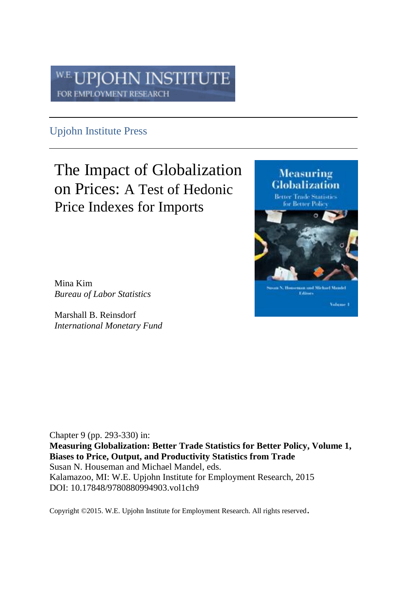#### PJOHN INSTITUTE W.E FOR EMPLOYMENT RESEARCH

### Upjohn Institute Press

### The Impact of Globalization on Prices: A Test of Hedonic Price Indexes for Imports

Mina Kim *Bureau of Labor Statistics*

Marshall B. Reinsdorf *International Monetary Fund*

Chapter 9 (pp. 293-330) in:

**Measuring Globalization: Better Trade Statistics for Better Policy, Volume 1, Biases to Price, Output, and Productivity Statistics from Trade** Susan N. Houseman and Michael Mandel, eds. Kalamazoo, MI: W.E. Upjohn Institute for Employment Research, 2015 DOI: 10.17848/9780880994903.vol1ch9

Copyright ©2015. W.E. Upjohn Institute for Employment Research. All rights reserved.

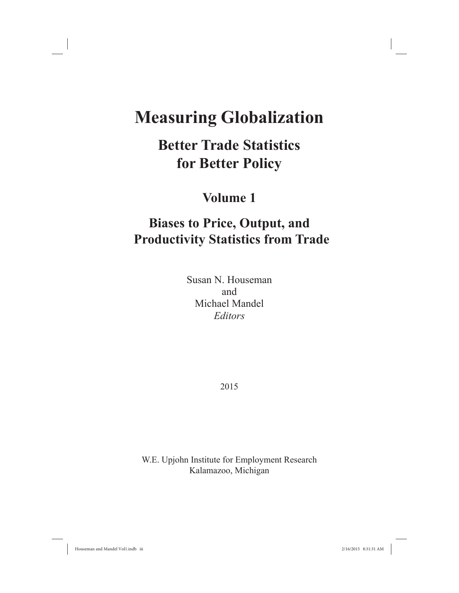# **Measuring Globalization**

# **Better Trade Statistics for Better Policy**

### **Volume 1**

## **Biases to Price, Output, and Productivity Statistics from Trade**

Susan N. Houseman and Michael Mandel *Editors*

2015

W.E. Upjohn Institute for Employment Research Kalamazoo, Michigan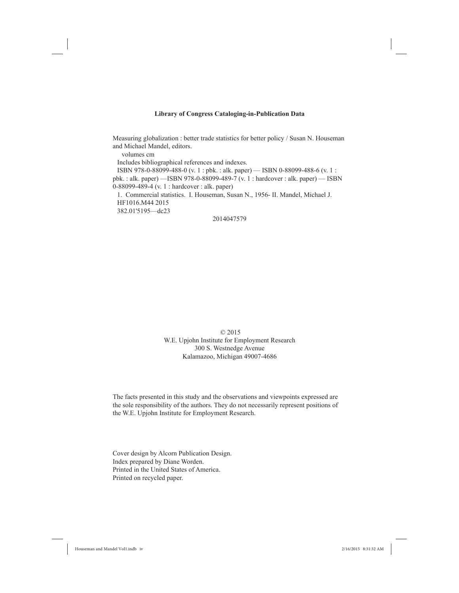#### **Library of Congress Cataloging-in-Publication Data**

Measuring globalization : better trade statistics for better policy / Susan N. Houseman and Michael Mandel, editors.

volumes cm

Includes bibliographical references and indexes.

 ISBN 978-0-88099-488-0 (v. 1 : pbk. : alk. paper) — ISBN 0-88099-488-6 (v. 1 : pbk. : alk. paper) —ISBN 978-0-88099-489-7 (v. 1 : hardcover : alk. paper) — ISBN  $0-88099-489-4$  (v. 1 : hardcover : alk. paper)

 1. Commercial statistics. I. Houseman, Susan N., 1956- II. Mandel, Michael J. HF1016.M44 2015 382.01'5195—dc23

#### 2014047579

#### © 2015 W.E. Upjohn Institute for Employment Research 300 S. Westnedge Avenue Kalamazoo, Michigan 49007-4686

The facts presented in this study and the observations and viewpoints expressed are the sole responsibility of the authors. They do not necessarily represent positions of the W.E. Upjohn Institute for Employment Research.

Cover design by Alcorn Publication Design. Index prepared by Diane Worden. Printed in the United States of America. Printed on recycled paper.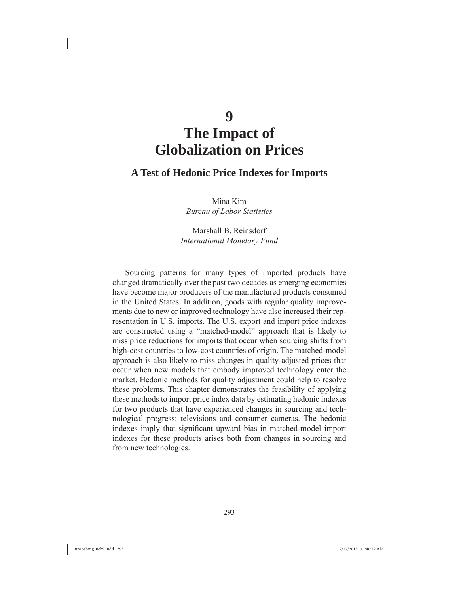# **The Impact of Globalization on Prices**

### **A Test of Hedonic Price Indexes for Imports**

Mina Kim *Bureau of Labor Statistics*

Marshall B. Reinsdorf *International Monetary Fund*

Sourcing patterns for many types of imported products have changed dramatically over the past two decades as emerging economies have become major producers of the manufactured products consumed in the United States. In addition, goods with regular quality improvements due to new or improved technology have also increased their representation in U.S. imports. The U.S. export and import price indexes are constructed using a "matched-model" approach that is likely to miss price reductions for imports that occur when sourcing shifts from high-cost countries to low-cost countries of origin. The matched-model approach is also likely to miss changes in quality-adjusted prices that occur when new models that embody improved technology enter the market. Hedonic methods for quality adjustment could help to resolve these problems. This chapter demonstrates the feasibility of applying these methods to import price index data by estimating hedonic indexes for two products that have experienced changes in sourcing and technological progress: televisions and consumer cameras. The hedonic indexes imply that significant upward bias in matched-model import indexes for these products arises both from changes in sourcing and from new technologies.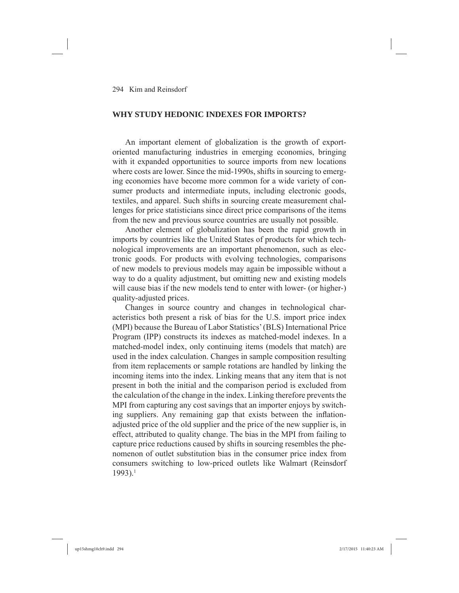#### **WHY STUDY HEDONIC INDEXES FOR IMPORTS?**

An important element of globalization is the growth of exportoriented manufacturing industries in emerging economies, bringing with it expanded opportunities to source imports from new locations where costs are lower. Since the mid-1990s, shifts in sourcing to emerging economies have become more common for a wide variety of consumer products and intermediate inputs, including electronic goods, textiles, and apparel. Such shifts in sourcing create measurement challenges for price statisticians since direct price comparisons of the items from the new and previous source countries are usually not possible.

Another element of globalization has been the rapid growth in imports by countries like the United States of products for which technological improvements are an important phenomenon, such as electronic goods. For products with evolving technologies, comparisons of new models to previous models may again be impossible without a way to do a quality adjustment, but omitting new and existing models will cause bias if the new models tend to enter with lower- (or higher-) quality-adjusted prices.

Changes in source country and changes in technological characteristics both present a risk of bias for the U.S. import price index (MPI) because the Bureau of Labor Statistics' (BLS) International Price Program (IPP) constructs its indexes as matched-model indexes. In a matched-model index, only continuing items (models that match) are used in the index calculation. Changes in sample composition resulting from item replacements or sample rotations are handled by linking the incoming items into the index. Linking means that any item that is not present in both the initial and the comparison period is excluded from the calculation of the change in the index. Linking therefore prevents the MPI from capturing any cost savings that an importer enjoys by switching suppliers. Any remaining gap that exists between the inflationadjusted price of the old supplier and the price of the new supplier is, in effect, attributed to quality change. The bias in the MPI from failing to capture price reductions caused by shifts in sourcing resembles the phenomenon of outlet substitution bias in the consumer price index from consumers switching to low-priced outlets like Walmart (Reinsdorf 1993).1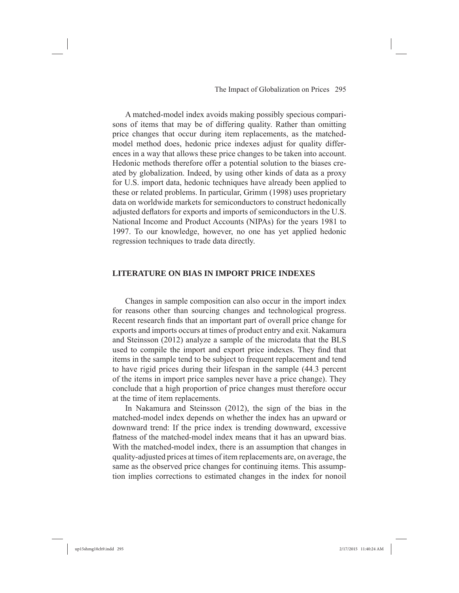A matched-model index avoids making possibly specious comparisons of items that may be of differing quality. Rather than omitting price changes that occur during item replacements, as the matchedmodel method does, hedonic price indexes adjust for quality differences in a way that allows these price changes to be taken into account. Hedonic methods therefore offer a potential solution to the biases created by globalization. Indeed, by using other kinds of data as a proxy for U.S. import data, hedonic techniques have already been applied to these or related problems. In particular, Grimm (1998) uses proprietary data on worldwide markets for semiconductors to construct hedonically adjusted deflators for exports and imports of semiconductors in the U.S. National Income and Product Accounts (NIPAs) for the years 1981 to 1997. To our knowledge, however, no one has yet applied hedonic regression techniques to trade data directly.

#### **LITERATURE ON BIAS IN IMPORT PRICE INDEXES**

Changes in sample composition can also occur in the import index for reasons other than sourcing changes and technological progress. Recent research finds that an important part of overall price change for exports and imports occurs at times of product entry and exit. Nakamura and Steinsson (2012) analyze a sample of the microdata that the BLS used to compile the import and export price indexes. They find that items in the sample tend to be subject to frequent replacement and tend to have rigid prices during their lifespan in the sample (44.3 percent of the items in import price samples never have a price change). They conclude that a high proportion of price changes must therefore occur at the time of item replacements.

In Nakamura and Steinsson (2012), the sign of the bias in the matched-model index depends on whether the index has an upward or downward trend: If the price index is trending downward, excessive flatness of the matched-model index means that it has an upward bias. With the matched-model index, there is an assumption that changes in quality-adjusted prices at times of item replacements are, on average, the same as the observed price changes for continuing items. This assumption implies corrections to estimated changes in the index for nonoil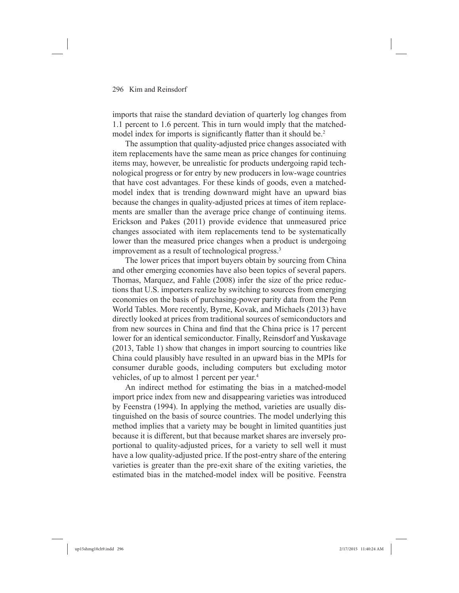imports that raise the standard deviation of quarterly log changes from 1.1 percent to 1.6 percent. This in turn would imply that the matchedmodel index for imports is significantly flatter than it should be.<sup>2</sup>

The assumption that quality-adjusted price changes associated with item replacements have the same mean as price changes for continuing items may, however, be unrealistic for products undergoing rapid technological progress or for entry by new producers in low-wage countries that have cost advantages. For these kinds of goods, even a matchedmodel index that is trending downward might have an upward bias because the changes in quality-adjusted prices at times of item replacements are smaller than the average price change of continuing items. Erickson and Pakes (2011) provide evidence that unmeasured price changes associated with item replacements tend to be systematically lower than the measured price changes when a product is undergoing improvement as a result of technological progress.3

The lower prices that import buyers obtain by sourcing from China and other emerging economies have also been topics of several papers. Thomas, Marquez, and Fahle (2008) infer the size of the price reductions that U.S. importers realize by switching to sources from emerging economies on the basis of purchasing-power parity data from the Penn World Tables. More recently, Byrne, Kovak, and Michaels (2013) have directly looked at prices from traditional sources of semiconductors and from new sources in China and find that the China price is 17 percent lower for an identical semiconductor. Finally, Reinsdorf and Yuskavage (2013, Table 1) show that changes in import sourcing to countries like China could plausibly have resulted in an upward bias in the MPIs for consumer durable goods, including computers but excluding motor vehicles, of up to almost 1 percent per year.4

An indirect method for estimating the bias in a matched-model import price index from new and disappearing varieties was introduced by Feenstra (1994). In applying the method, varieties are usually distinguished on the basis of source countries. The model underlying this method implies that a variety may be bought in limited quantities just because it is different, but that because market shares are inversely proportional to quality-adjusted prices, for a variety to sell well it must have a low quality-adjusted price. If the post-entry share of the entering varieties is greater than the pre-exit share of the exiting varieties, the estimated bias in the matched-model index will be positive. Feenstra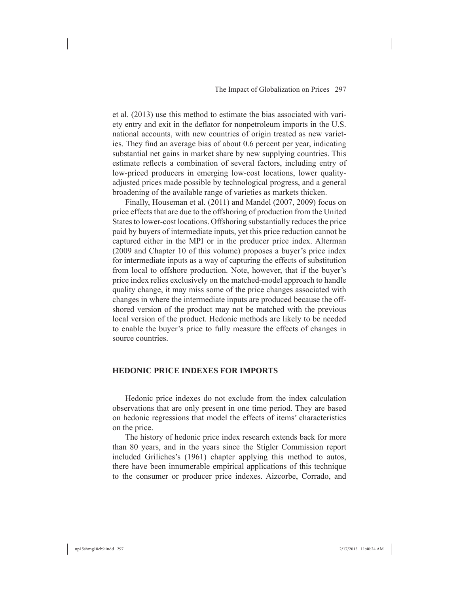et al. (2013) use this method to estimate the bias associated with variety entry and exit in the deflator for nonpetroleum imports in the U.S. national accounts, with new countries of origin treated as new varieties. They find an average bias of about 0.6 percent per year, indicating substantial net gains in market share by new supplying countries. This estimate reflects a combination of several factors, including entry of low-priced producers in emerging low-cost locations, lower qualityadjusted prices made possible by technological progress, and a general broadening of the available range of varieties as markets thicken.

Finally, Houseman et al. (2011) and Mandel (2007, 2009) focus on price effects that are due to the offshoring of production from the United States to lower-cost locations. Offshoring substantially reduces the price paid by buyers of intermediate inputs, yet this price reduction cannot be captured either in the MPI or in the producer price index. Alterman (2009 and Chapter 10 of this volume) proposes a buyer's price index for intermediate inputs as a way of capturing the effects of substitution from local to offshore production. Note, however, that if the buyer's price index relies exclusively on the matched-model approach to handle quality change, it may miss some of the price changes associated with changes in where the intermediate inputs are produced because the offshored version of the product may not be matched with the previous local version of the product. Hedonic methods are likely to be needed to enable the buyer's price to fully measure the effects of changes in source countries.

#### **HEDONIC PRICE INDEXES FOR IMPORTS**

Hedonic price indexes do not exclude from the index calculation observations that are only present in one time period. They are based on hedonic regressions that model the effects of items' characteristics on the price.

The history of hedonic price index research extends back for more than 80 years, and in the years since the Stigler Commission report included Griliches's (1961) chapter applying this method to autos, there have been innumerable empirical applications of this technique to the consumer or producer price indexes. Aizcorbe, Corrado, and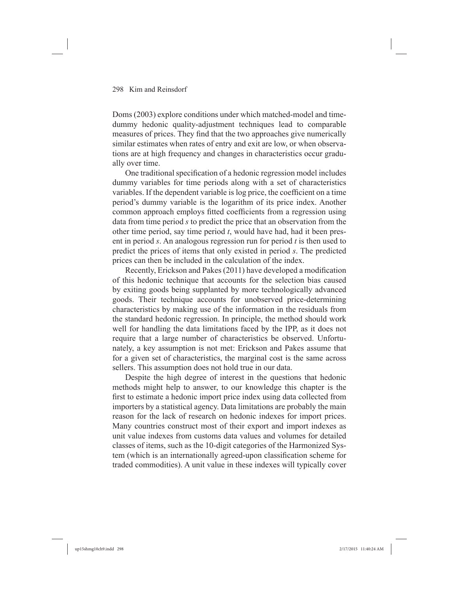Doms (2003) explore conditions under which matched-model and timedummy hedonic quality-adjustment techniques lead to comparable measures of prices. They find that the two approaches give numerically similar estimates when rates of entry and exit are low, or when observations are at high frequency and changes in characteristics occur gradually over time.

One traditional specification of a hedonic regression model includes dummy variables for time periods along with a set of characteristics variables. If the dependent variable is log price, the coefficient on a time period's dummy variable is the logarithm of its price index. Another common approach employs fitted coefficients from a regression using data from time period *s* to predict the price that an observation from the other time period, say time period *t*, would have had, had it been present in period *s*. An analogous regression run for period *t* is then used to predict the prices of items that only existed in period *s*. The predicted prices can then be included in the calculation of the index.

Recently, Erickson and Pakes (2011) have developed a modification of this hedonic technique that accounts for the selection bias caused by exiting goods being supplanted by more technologically advanced goods. Their technique accounts for unobserved price-determining characteristics by making use of the information in the residuals from the standard hedonic regression. In principle, the method should work well for handling the data limitations faced by the IPP, as it does not require that a large number of characteristics be observed. Unfortunately, a key assumption is not met: Erickson and Pakes assume that for a given set of characteristics, the marginal cost is the same across sellers. This assumption does not hold true in our data.

Despite the high degree of interest in the questions that hedonic methods might help to answer, to our knowledge this chapter is the first to estimate a hedonic import price index using data collected from importers by a statistical agency. Data limitations are probably the main reason for the lack of research on hedonic indexes for import prices. Many countries construct most of their export and import indexes as unit value indexes from customs data values and volumes for detailed classes of items, such as the 10-digit categories of the Harmonized System (which is an internationally agreed-upon classification scheme for traded commodities). A unit value in these indexes will typically cover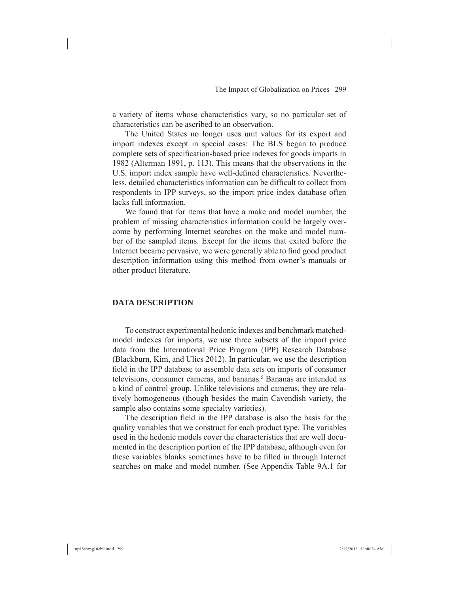a variety of items whose characteristics vary, so no particular set of characteristics can be ascribed to an observation.

The United States no longer uses unit values for its export and import indexes except in special cases: The BLS began to produce complete sets of specification-based price indexes for goods imports in 1982 (Alterman 1991, p. 113). This means that the observations in the U.S. import index sample have well-defined characteristics. Nevertheless, detailed characteristics information can be difficult to collect from respondents in IPP surveys, so the import price index database often lacks full information.

We found that for items that have a make and model number, the problem of missing characteristics information could be largely overcome by performing Internet searches on the make and model number of the sampled items. Except for the items that exited before the Internet became pervasive, we were generally able to find good product description information using this method from owner's manuals or other product literature.

#### **DATA DESCRIPTION**

To construct experimental hedonic indexes and benchmark matchedmodel indexes for imports, we use three subsets of the import price data from the International Price Program (IPP) Research Database (Blackburn, Kim, and Ulics 2012). In particular, we use the description field in the IPP database to assemble data sets on imports of consumer televisions, consumer cameras, and bananas.<sup>5</sup> Bananas are intended as a kind of control group. Unlike televisions and cameras, they are relatively homogeneous (though besides the main Cavendish variety, the sample also contains some specialty varieties).

The description field in the IPP database is also the basis for the quality variables that we construct for each product type. The variables used in the hedonic models cover the characteristics that are well documented in the description portion of the IPP database, although even for these variables blanks sometimes have to be filled in through Internet searches on make and model number. (See Appendix Table 9A.1 for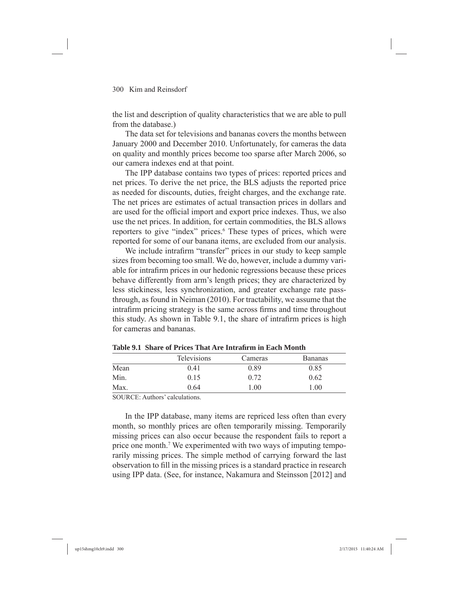the list and description of quality characteristics that we are able to pull from the database.)

The data set for televisions and bananas covers the months between January 2000 and December 2010. Unfortunately, for cameras the data on quality and monthly prices become too sparse after March 2006, so our camera indexes end at that point.

The IPP database contains two types of prices: reported prices and net prices. To derive the net price, the BLS adjusts the reported price as needed for discounts, duties, freight charges, and the exchange rate. The net prices are estimates of actual transaction prices in dollars and are used for the official import and export price indexes. Thus, we also use the net prices. In addition, for certain commodities, the BLS allows reporters to give "index" prices.<sup>6</sup> These types of prices, which were reported for some of our banana items, are excluded from our analysis.

We include intrafirm "transfer" prices in our study to keep sample sizes from becoming too small. We do, however, include a dummy variable for intrafirm prices in our hedonic regressions because these prices behave differently from arm's length prices; they are characterized by less stickiness, less synchronization, and greater exchange rate passthrough, as found in Neiman (2010). For tractability, we assume that the intrafirm pricing strategy is the same across firms and time throughout this study. As shown in Table 9.1, the share of intrafirm prices is high for cameras and bananas.

|      | <b>Televisions</b> | Cameras | <b>Bananas</b> |
|------|--------------------|---------|----------------|
| Mean | 0.41               | 0.89    | 0.85           |
| Min. | 0.15               | 0.72    | 0.62           |
| Max. | 0.64               | l.00    | 1.00           |

Table 9.1 Share of Prices That Are Intrafirm in Each Month

SOURCE: Authors' calculations.

In the IPP database, many items are repriced less often than every month, so monthly prices are often temporarily missing. Temporarily missing prices can also occur because the respondent fails to report a price one month.<sup>7</sup> We experimented with two ways of imputing temporarily missing prices. The simple method of carrying forward the last observation to fill in the missing prices is a standard practice in research using IPP data. (See, for instance, Nakamura and Steinsson [2012] and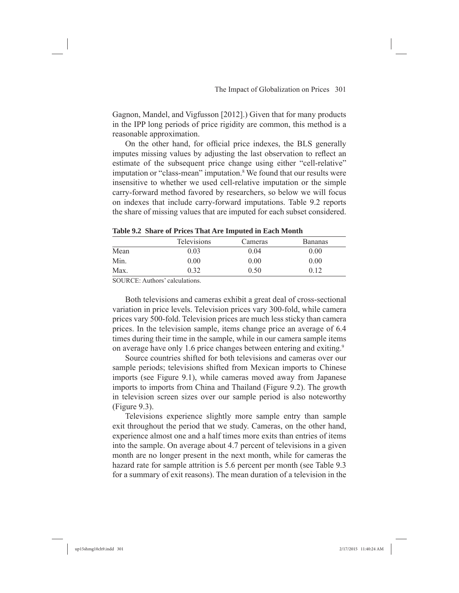Gagnon, Mandel, and Vigfusson [2012].) Given that for many products in the IPP long periods of price rigidity are common, this method is a reasonable approximation.

On the other hand, for official price indexes, the BLS generally imputes missing values by adjusting the last observation to reflect an estimate of the subsequent price change using either "cell-relative" imputation or "class-mean" imputation.<sup>8</sup> We found that our results were insensitive to whether we used cell-relative imputation or the simple carry-forward method favored by researchers, so below we will focus on indexes that include carry-forward imputations. Table 9.2 reports the share of missing values that are imputed for each subset considered.

|      | <b>Televisions</b> | Cameras | <b>Bananas</b> |
|------|--------------------|---------|----------------|
| Mean | 0.03               | 0.04    | 0.00           |
| Min. | 0.00               | 0.00    | 0.00           |
| Max. | 0.32               | 0.50    | 0.12           |

**Table 9.2 Share of Prices That Are Imputed in Each Month**

SOURCE: Authors' calculations.

Both televisions and cameras exhibit a great deal of cross-sectional variation in price levels. Television prices vary 300-fold, while camera prices vary 500-fold. Television prices are much less sticky than camera prices. In the television sample, items change price an average of 6.4 times during their time in the sample, while in our camera sample items on average have only 1.6 price changes between entering and exiting.9

Source countries shifted for both televisions and cameras over our sample periods; televisions shifted from Mexican imports to Chinese imports (see Figure 9.1), while cameras moved away from Japanese imports to imports from China and Thailand (Figure 9.2). The growth in television screen sizes over our sample period is also noteworthy (Figure 9.3).

Televisions experience slightly more sample entry than sample exit throughout the period that we study. Cameras, on the other hand, experience almost one and a half times more exits than entries of items into the sample. On average about 4.7 percent of televisions in a given month are no longer present in the next month, while for cameras the hazard rate for sample attrition is 5.6 percent per month (see Table 9.3 for a summary of exit reasons). The mean duration of a television in the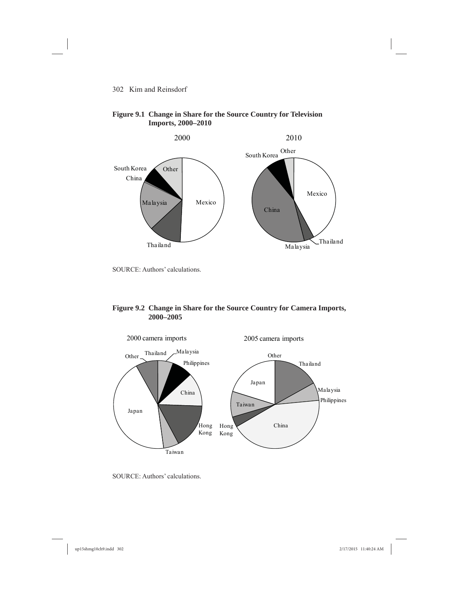

#### **Figure 9.1 Change in Share for the Source Country for Television Imports, 2000–2010**

SOURCE: Authors' calculations.

#### **Figure 9.2 Change in Share for the Source Country for Camera Imports, 2000–2005**



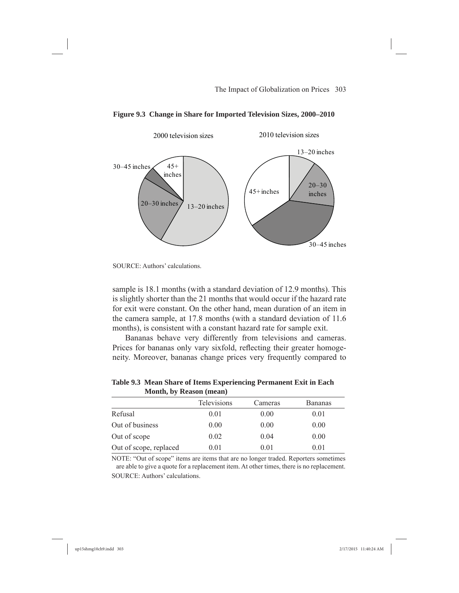

**Figure 9.3 Change in Share for Imported Television Sizes, 2000–2010**

sample is 18.1 months (with a standard deviation of 12.9 months). This is slightly shorter than the 21 months that would occur if the hazard rate for exit were constant. On the other hand, mean duration of an item in the camera sample, at 17.8 months (with a standard deviation of 11.6 months), is consistent with a constant hazard rate for sample exit.

Bananas behave very differently from televisions and cameras. Prices for bananas only vary sixfold, reflecting their greater homogeneity. Moreover, bananas change prices very frequently compared to

| <b>NOTICH, DY REASON (MEAN)</b> |                    |         |                |
|---------------------------------|--------------------|---------|----------------|
|                                 | <b>Televisions</b> | Cameras | <b>Bananas</b> |
| Refusal                         | 0.01               | 0.00    | 0.01           |
| Out of business                 | 0.00               | 0.00    | 0.00           |
| Out of scope                    | 0.02               | 0.04    | 0.00           |
| Out of scope, replaced          | 0.01               | 0.01    | 0.01           |

**Table 9.3 Mean Share of Items Experiencing Permanent Exit in Each Month, by Reason (mean)**

NOTE: "Out of scope" items are items that are no longer traded. Reporters sometimes are able to give a quote for a replacement item. At other times, there is no replacement. SOURCE: Authors' calculations.

SOURCE: Authors' calculations.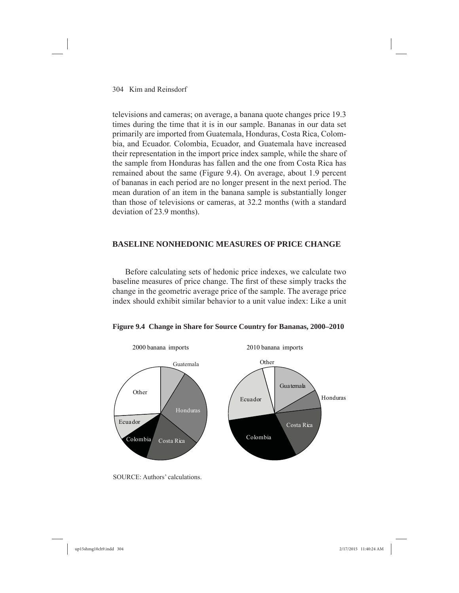televisions and cameras; on average, a banana quote changes price 19.3 times during the time that it is in our sample. Bananas in our data set primarily are imported from Guatemala, Honduras, Costa Rica, Colombia, and Ecuador. Colombia, Ecuador, and Guatemala have increased their representation in the import price index sample, while the share of the sample from Honduras has fallen and the one from Costa Rica has remained about the same (Figure 9.4). On average, about 1.9 percent of bananas in each period are no longer present in the next period. The mean duration of an item in the banana sample is substantially longer than those of televisions or cameras, at 32.2 months (with a standard deviation of 23.9 months).

### **BASELINE NONHEDONIC MEASURES OF PRICE CHANGE**

Before calculating sets of hedonic price indexes, we calculate two baseline measures of price change. The first of these simply tracks the change in the geometric average price of the sample. The average price index should exhibit similar behavior to a unit value index: Like a unit





SOURCE: Authors' calculations.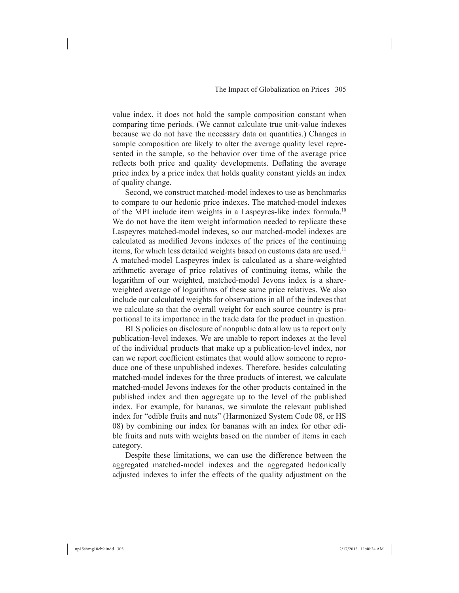value index, it does not hold the sample composition constant when comparing time periods. (We cannot calculate true unit-value indexes because we do not have the necessary data on quantities.) Changes in sample composition are likely to alter the average quality level represented in the sample, so the behavior over time of the average price reflects both price and quality developments. Deflating the average price index by a price index that holds quality constant yields an index of quality change.

Second, we construct matched-model indexes to use as benchmarks to compare to our hedonic price indexes. The matched-model indexes of the MPI include item weights in a Laspeyres-like index formula.10 We do not have the item weight information needed to replicate these Laspeyres matched-model indexes, so our matched-model indexes are calculated as modified Jevons indexes of the prices of the continuing items, for which less detailed weights based on customs data are used.<sup>11</sup> A matched-model Laspeyres index is calculated as a share-weighted arithmetic average of price relatives of continuing items, while the logarithm of our weighted, matched-model Jevons index is a shareweighted average of logarithms of these same price relatives. We also include our calculated weights for observations in all of the indexes that we calculate so that the overall weight for each source country is proportional to its importance in the trade data for the product in question.

BLS policies on disclosure of nonpublic data allow us to report only publication-level indexes. We are unable to report indexes at the level of the individual products that make up a publication-level index, nor can we report coefficient estimates that would allow someone to reproduce one of these unpublished indexes. Therefore, besides calculating matched-model indexes for the three products of interest, we calculate matched-model Jevons indexes for the other products contained in the published index and then aggregate up to the level of the published index. For example, for bananas, we simulate the relevant published index for "edible fruits and nuts" (Harmonized System Code 08, or HS 08) by combining our index for bananas with an index for other edible fruits and nuts with weights based on the number of items in each category.

Despite these limitations, we can use the difference between the aggregated matched-model indexes and the aggregated hedonically adjusted indexes to infer the effects of the quality adjustment on the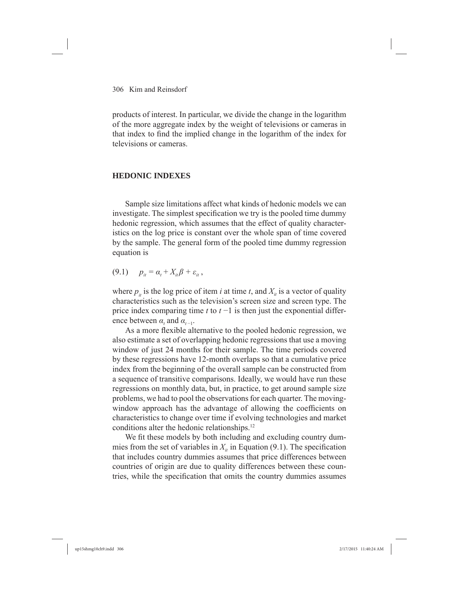products of interest. In particular, we divide the change in the logarithm of the more aggregate index by the weight of televisions or cameras in that index to find the implied change in the logarithm of the index for televisions or cameras.

#### **HEDONIC INDEXES**

Sample size limitations affect what kinds of hedonic models we can investigate. The simplest specification we try is the pooled time dummy hedonic regression, which assumes that the effect of quality characteristics on the log price is constant over the whole span of time covered by the sample. The general form of the pooled time dummy regression equation is

 $(9.1)$   $p_{it} = \alpha_t + X_{it}\beta + \varepsilon_{it}$ ,

where  $p_{ij}$  is the log price of item *i* at time *t*, and  $X_{ij}$  is a vector of quality characteristics such as the television's screen size and screen type. The price index comparing time *t* to *t* −1 is then just the exponential difference between  $\alpha_t$  and  $\alpha_{t-1}$ .

As a more flexible alternative to the pooled hedonic regression, we also estimate a set of overlapping hedonic regressions that use a moving window of just 24 months for their sample. The time periods covered by these regressions have 12-month overlaps so that a cumulative price index from the beginning of the overall sample can be constructed from a sequence of transitive comparisons. Ideally, we would have run these regressions on monthly data, but, in practice, to get around sample size problems, we had to pool the observations for each quarter. The movingwindow approach has the advantage of allowing the coefficients on characteristics to change over time if evolving technologies and market conditions alter the hedonic relationships.12

We fit these models by both including and excluding country dummies from the set of variables in  $X_{i}$  in Equation (9.1). The specification that includes country dummies assumes that price differences between countries of origin are due to quality differences between these countries, while the specification that omits the country dummies assumes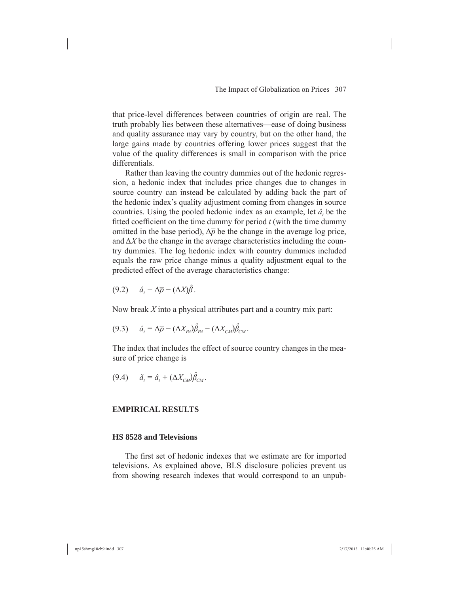that price-level differences between countries of origin are real. The truth probably lies between these alternatives—ease of doing business and quality assurance may vary by country, but on the other hand, the large gains made by countries offering lower prices suggest that the value of the quality differences is small in comparison with the price differentials.

Rather than leaving the country dummies out of the hedonic regression, a hedonic index that includes price changes due to changes in source country can instead be calculated by adding back the part of the hedonic index's quality adjustment coming from changes in source countries. Using the pooled hedonic index as an example, let  $\hat{a}$  be the fitted coefficient on the time dummy for period  $t$  (with the time dummy omitted in the base period),  $\Delta \bar{p}$  be the change in the average log price, and  $\Delta X$  be the change in the average characteristics including the country dummies. The log hedonic index with country dummies included equals the raw price change minus a quality adjustment equal to the predicted effect of the average characteristics change:

$$
(9.2) \quad \hat{a}_t = \Delta \overline{p} - (\Delta X) \hat{\beta} \, .
$$

Now break *X* into a physical attributes part and a country mix part:

$$
(9.3) \qquad \hat{a}_t = \Delta \overline{p} - (\Delta X_{PA}) \hat{\beta}_{PA} - (\Delta X_{CM}) \hat{\beta}_{CM}.
$$

The index that includes the effect of source country changes in the measure of price change is

$$
(9.4) \qquad \tilde{a}_t = \hat{a}_t + (\Delta X_{CM}) \hat{\beta}_{CM}.
$$

#### **EMPIRICAL RESULTS**

#### **HS 8528 and Televisions**

The first set of hedonic indexes that we estimate are for imported televisions. As explained above, BLS disclosure policies prevent us from showing research indexes that would correspond to an unpub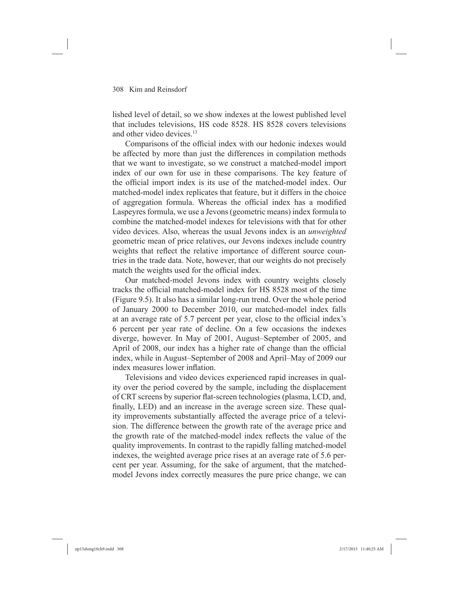lished level of detail, so we show indexes at the lowest published level that includes televisions, HS code 8528. HS 8528 covers televisions and other video devices.<sup>13</sup>

Comparisons of the official index with our hedonic indexes would be affected by more than just the differences in compilation methods that we want to investigate, so we construct a matched-model import index of our own for use in these comparisons. The key feature of the official import index is its use of the matched-model index. Our matched-model index replicates that feature, but it differs in the choice of aggregation formula. Whereas the official index has a modified Laspeyres formula, we use a Jevons (geometric means) index formula to combine the matched-model indexes for televisions with that for other video devices. Also, whereas the usual Jevons index is an *unweighted* geometric mean of price relatives, our Jevons indexes include country weights that reflect the relative importance of different source countries in the trade data. Note, however, that our weights do not precisely match the weights used for the official index.

Our matched-model Jevons index with country weights closely tracks the official matched-model index for HS 8528 most of the time (Figure 9.5). It also has a similar long-run trend. Over the whole period of January 2000 to December 2010, our matched-model index falls at an average rate of 5.7 percent per year, close to the official index's 6 percent per year rate of decline. On a few occasions the indexes diverge, however. In May of 2001, August–September of 2005, and April of 2008, our index has a higher rate of change than the official index, while in August–September of 2008 and April–May of 2009 our index measures lower inflation.

Televisions and video devices experienced rapid increases in quality over the period covered by the sample, including the displacement of CRT screens by superior flat-screen technologies (plasma, LCD, and, finally, LED) and an increase in the average screen size. These quality improvements substantially affected the average price of a television. The difference between the growth rate of the average price and the growth rate of the matched-model index reflects the value of the quality improvements. In contrast to the rapidly falling matched-model indexes, the weighted average price rises at an average rate of 5.6 percent per year. Assuming, for the sake of argument, that the matchedmodel Jevons index correctly measures the pure price change, we can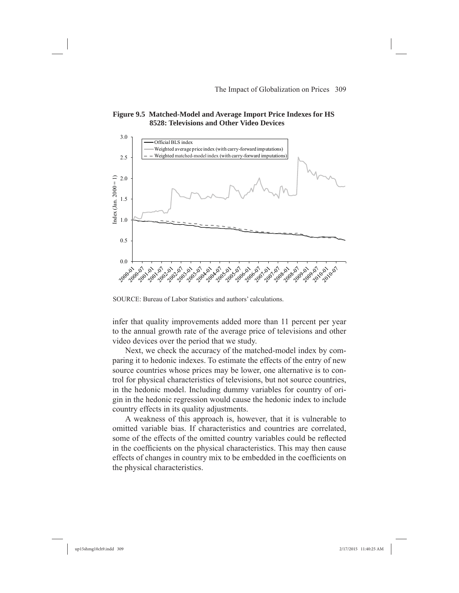



SOURCE: Bureau of Labor Statistics and authors' calculations.

infer that quality improvements added more than 11 percent per year to the annual growth rate of the average price of televisions and other video devices over the period that we study.

Next, we check the accuracy of the matched-model index by comparing it to hedonic indexes. To estimate the effects of the entry of new source countries whose prices may be lower, one alternative is to control for physical characteristics of televisions, but not source countries, in the hedonic model. Including dummy variables for country of origin in the hedonic regression would cause the hedonic index to include country effects in its quality adjustments.

A weakness of this approach is, however, that it is vulnerable to omitted variable bias. If characteristics and countries are correlated, some of the effects of the omitted country variables could be reflected in the coefficients on the physical characteristics. This may then cause effects of changes in country mix to be embedded in the coefficients on the physical characteristics.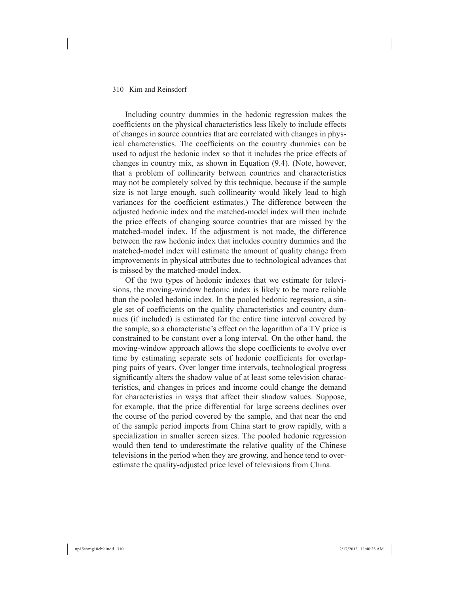Including country dummies in the hedonic regression makes the coefficients on the physical characteristics less likely to include effects of changes in source countries that are correlated with changes in physical characteristics. The coefficients on the country dummies can be used to adjust the hedonic index so that it includes the price effects of changes in country mix, as shown in Equation (9.4). (Note, however, that a problem of collinearity between countries and characteristics may not be completely solved by this technique, because if the sample size is not large enough, such collinearity would likely lead to high variances for the coefficient estimates.) The difference between the adjusted hedonic index and the matched-model index will then include the price effects of changing source countries that are missed by the matched-model index. If the adjustment is not made, the difference between the raw hedonic index that includes country dummies and the matched-model index will estimate the amount of quality change from improvements in physical attributes due to technological advances that is missed by the matched-model index.

Of the two types of hedonic indexes that we estimate for televisions, the moving-window hedonic index is likely to be more reliable than the pooled hedonic index. In the pooled hedonic regression, a single set of coefficients on the quality characteristics and country dummies (if included) is estimated for the entire time interval covered by the sample, so a characteristic's effect on the logarithm of a TV price is constrained to be constant over a long interval. On the other hand, the moving-window approach allows the slope coefficients to evolve over time by estimating separate sets of hedonic coefficients for overlapping pairs of years. Over longer time intervals, technological progress significantly alters the shadow value of at least some television characteristics, and changes in prices and income could change the demand for characteristics in ways that affect their shadow values. Suppose, for example, that the price differential for large screens declines over the course of the period covered by the sample, and that near the end of the sample period imports from China start to grow rapidly, with a specialization in smaller screen sizes. The pooled hedonic regression would then tend to underestimate the relative quality of the Chinese televisions in the period when they are growing, and hence tend to overestimate the quality-adjusted price level of televisions from China.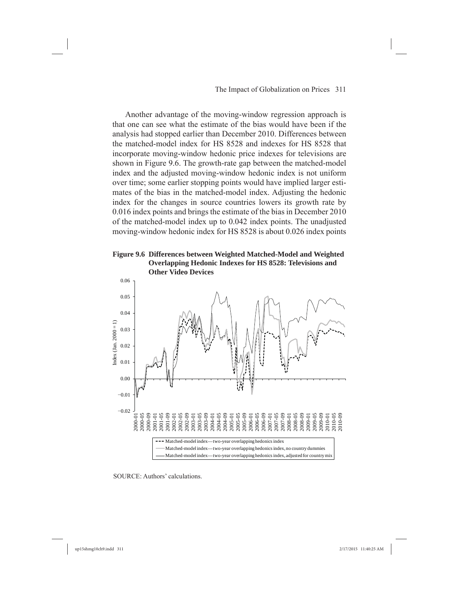Another advantage of the moving-window regression approach is that one can see what the estimate of the bias would have been if the analysis had stopped earlier than December 2010. Differences between the matched-model index for HS 8528 and indexes for HS 8528 that incorporate moving-window hedonic price indexes for televisions are shown in Figure 9.6. The growth-rate gap between the matched-model index and the adjusted moving-window hedonic index is not uniform over time; some earlier stopping points would have implied larger estimates of the bias in the matched-model index. Adjusting the hedonic index for the changes in source countries lowers its growth rate by 0.016 index points and brings the estimate of the bias in December 2010 of the matched-model index up to 0.042 index points. The unadjusted moving-window hedonic index for HS 8528 is about 0.026 index points





SOURCE: Authors' calculations.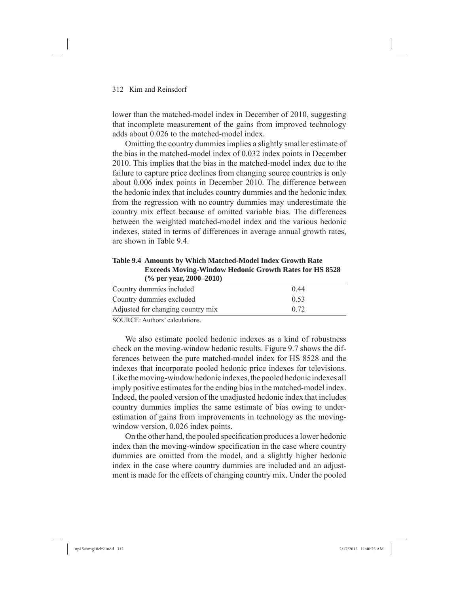lower than the matched-model index in December of 2010, suggesting that incomplete measurement of the gains from improved technology adds about 0.026 to the matched-model index.

Omitting the country dummies implies a slightly smaller estimate of the bias in the matched-model index of 0.032 index points in December 2010. This implies that the bias in the matched-model index due to the failure to capture price declines from changing source countries is only about 0.006 index points in December 2010. The difference between the hedonic index that includes country dummies and the hedonic index from the regression with no country dummies may underestimate the country mix effect because of omitted variable bias. The differences between the weighted matched-model index and the various hedonic indexes, stated in terms of differences in average annual growth rates, are shown in Table 9.4.

**Table 9.4 Amounts by Which Matched-Model Index Growth Rate Exceeds Moving-Window Hedonic Growth Rates for HS 8528 (% per year, 2000–2010)**

| Country dummies included          | 0.44 |  |
|-----------------------------------|------|--|
| Country dummies excluded          | 0.53 |  |
| Adjusted for changing country mix | 0.72 |  |
| $\alpha$                          |      |  |

SOURCE: Authors' calculations.

We also estimate pooled hedonic indexes as a kind of robustness check on the moving-window hedonic results. Figure 9.7 shows the differences between the pure matched-model index for HS 8528 and the indexes that incorporate pooled hedonic price indexes for televisions. Like the moving-window hedonic indexes, the pooled hedonic indexes all imply positive estimates for the ending bias in the matched-model index. Indeed, the pooled version of the unadjusted hedonic index that includes country dummies implies the same estimate of bias owing to underestimation of gains from improvements in technology as the movingwindow version, 0.026 index points.

On the other hand, the pooled specification produces a lower hedonic index than the moving-window specification in the case where country dummies are omitted from the model, and a slightly higher hedonic index in the case where country dummies are included and an adjustment is made for the effects of changing country mix. Under the pooled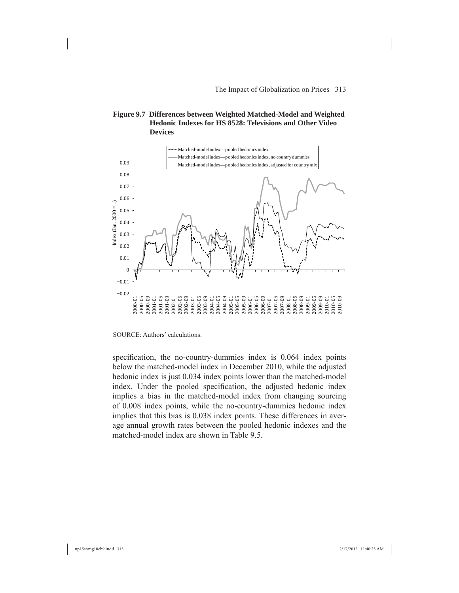#### **Figure 9.7 Differences between Weighted Matched-Model and Weighted Hedonic Indexes for HS 8528: Televisions and Other Video Devices**



SOURCE: Authors' calculations.

specification, the no-country-dummies index is 0.064 index points below the matched-model index in December 2010, while the adjusted hedonic index is just 0.034 index points lower than the matched-model index. Under the pooled specification, the adjusted hedonic index implies a bias in the matched-model index from changing sourcing of 0.008 index points, while the no-country-dummies hedonic index implies that this bias is 0.038 index points. These differences in average annual growth rates between the pooled hedonic indexes and the matched-model index are shown in Table 9.5.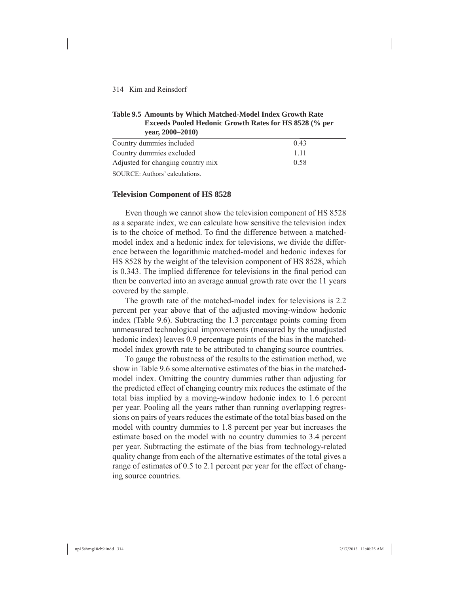#### **Table 9.5 Amounts by Which Matched-Model Index Growth Rate Exceeds Pooled Hedonic Growth Rates for HS 8528 (% per year, 2000–2010)**

| Country dummies included          | 0.43  |  |
|-----------------------------------|-------|--|
| Country dummies excluded          | 1 1 1 |  |
| Adjusted for changing country mix | 0.58  |  |
|                                   |       |  |

SOURCE: Authors' calculations.

#### **Television Component of HS 8528**

Even though we cannot show the television component of HS 8528 as a separate index, we can calculate how sensitive the television index is to the choice of method. To find the difference between a matchedmodel index and a hedonic index for televisions, we divide the difference between the logarithmic matched-model and hedonic indexes for HS 8528 by the weight of the television component of HS 8528, which is 0.343. The implied difference for televisions in the final period can then be converted into an average annual growth rate over the 11 years covered by the sample.

The growth rate of the matched-model index for televisions is 2.2 percent per year above that of the adjusted moving-window hedonic index (Table 9.6). Subtracting the 1.3 percentage points coming from unmeasured technological improvements (measured by the unadjusted hedonic index) leaves 0.9 percentage points of the bias in the matchedmodel index growth rate to be attributed to changing source countries.

To gauge the robustness of the results to the estimation method, we show in Table 9.6 some alternative estimates of the bias in the matchedmodel index. Omitting the country dummies rather than adjusting for the predicted effect of changing country mix reduces the estimate of the total bias implied by a moving-window hedonic index to 1.6 percent per year. Pooling all the years rather than running overlapping regressions on pairs of years reduces the estimate of the total bias based on the model with country dummies to 1.8 percent per year but increases the estimate based on the model with no country dummies to 3.4 percent per year. Subtracting the estimate of the bias from technology-related quality change from each of the alternative estimates of the total gives a range of estimates of 0.5 to 2.1 percent per year for the effect of changing source countries.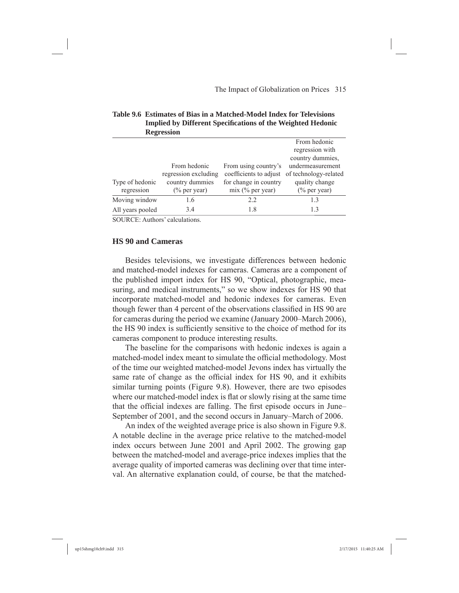|                  | $\mathbf{R}$         |                        |                       |
|------------------|----------------------|------------------------|-----------------------|
|                  |                      |                        | From hedonic          |
|                  |                      |                        | regression with       |
|                  |                      |                        | country dummies,      |
|                  | From hedonic         | From using country's   | undermeasurement      |
|                  | regression excluding | coefficients to adjust | of technology-related |
| Type of hedonic  | country dummies      | for change in country  | quality change        |
| regression       | $(\%$ per year)      | $mix$ (% per year)     | $(\%$ per year)       |
| Moving window    | 1.6                  | 2.2                    | 13                    |
| All years pooled | 3.4                  | 1.8                    | 13                    |
|                  |                      |                        |                       |

#### **Table 9.6 Estimates of Bias in a Matched-Model Index for Televisions Implied by Different Specifi cations of the Weighted Hedonic Regression**

SOURCE: Authors' calculations.

#### **HS 90 and Cameras**

Besides televisions, we investigate differences between hedonic and matched-model indexes for cameras. Cameras are a component of the published import index for HS 90, "Optical, photographic, measuring, and medical instruments," so we show indexes for HS 90 that incorporate matched-model and hedonic indexes for cameras. Even though fewer than 4 percent of the observations classified in HS 90 are for cameras during the period we examine (January 2000–March 2006), the HS 90 index is sufficiently sensitive to the choice of method for its cameras component to produce interesting results.

The baseline for the comparisons with hedonic indexes is again a matched-model index meant to simulate the official methodology. Most of the time our weighted matched-model Jevons index has virtually the same rate of change as the official index for HS 90, and it exhibits similar turning points (Figure 9.8). However, there are two episodes where our matched-model index is flat or slowly rising at the same time that the official indexes are falling. The first episode occurs in June– September of 2001, and the second occurs in January–March of 2006.

An index of the weighted average price is also shown in Figure 9.8. A notable decline in the average price relative to the matched-model index occurs between June 2001 and April 2002. The growing gap between the matched-model and average-price indexes implies that the average quality of imported cameras was declining over that time interval. An alternative explanation could, of course, be that the matched-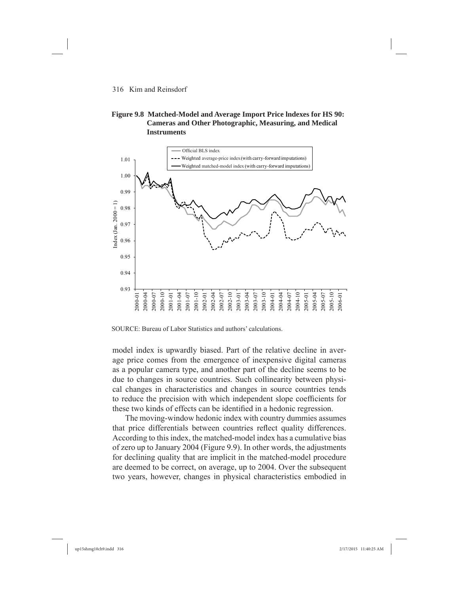#### **Figure 9.8 Matched-Model and Average Import Price lndexes for HS 90: Cameras and Other Photographic, Measuring, and Medical Instruments**



SOURCE: Bureau of Labor Statistics and authors' calculations.

model index is upwardly biased. Part of the relative decline in average price comes from the emergence of inexpensive digital cameras as a popular camera type, and another part of the decline seems to be due to changes in source countries. Such collinearity between physical changes in characteristics and changes in source countries tends to reduce the precision with which independent slope coefficients for these two kinds of effects can be identified in a hedonic regression.

The moving-window hedonic index with country dummies assumes that price differentials between countries reflect quality differences. According to this index, the matched-model index has a cumulative bias of zero up to January 2004 (Figure 9.9). In other words, the adjustments for declining quality that are implicit in the matched-model procedure are deemed to be correct, on average, up to 2004. Over the subsequent two years, however, changes in physical characteristics embodied in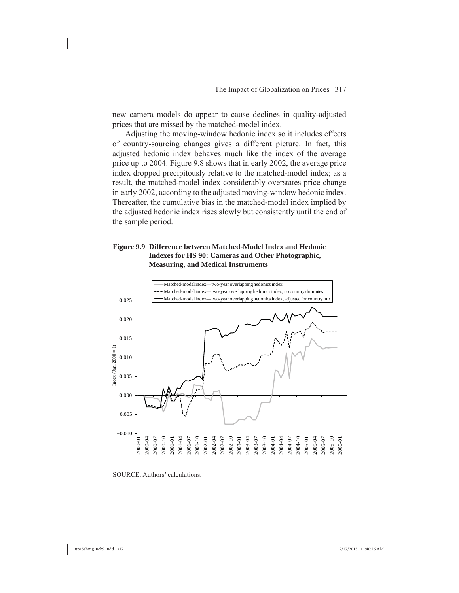new camera models do appear to cause declines in quality-adjusted prices that are missed by the matched-model index.

Adjusting the moving-window hedonic index so it includes effects of country-sourcing changes gives a different picture. In fact, this adjusted hedonic index behaves much like the index of the average price up to 2004. Figure 9.8 shows that in early 2002, the average price index dropped precipitously relative to the matched-model index; as a result, the matched-model index considerably overstates price change in early 2002, according to the adjusted moving-window hedonic index. Thereafter, the cumulative bias in the matched-model index implied by the adjusted hedonic index rises slowly but consistently until the end of the sample period.

#### **Figure 9.9 Difference between Matched-Model Index and Hedonic Indexes for HS 90: Cameras and Other Photographic, Measuring, and Medical Instruments**



SOURCE: Authors' calculations.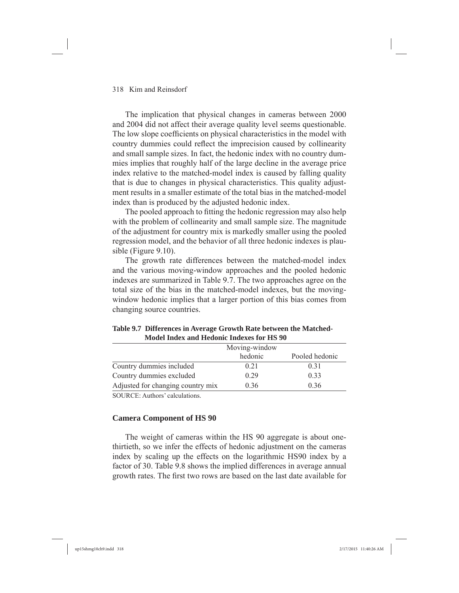The implication that physical changes in cameras between 2000 and 2004 did not affect their average quality level seems questionable. The low slope coefficients on physical characteristics in the model with country dummies could reflect the imprecision caused by collinearity and small sample sizes. In fact, the hedonic index with no country dummies implies that roughly half of the large decline in the average price index relative to the matched-model index is caused by falling quality that is due to changes in physical characteristics. This quality adjustment results in a smaller estimate of the total bias in the matched-model index than is produced by the adjusted hedonic index.

The pooled approach to fitting the hedonic regression may also help with the problem of collinearity and small sample size. The magnitude of the adjustment for country mix is markedly smaller using the pooled regression model, and the behavior of all three hedonic indexes is plausible (Figure 9.10).

The growth rate differences between the matched-model index and the various moving-window approaches and the pooled hedonic indexes are summarized in Table 9.7. The two approaches agree on the total size of the bias in the matched-model indexes, but the movingwindow hedonic implies that a larger portion of this bias comes from changing source countries.

|                                   | Moving-window |                |
|-----------------------------------|---------------|----------------|
|                                   | hedonic       | Pooled hedonic |
| Country dummies included          | 0.21          | 0.31           |
| Country dummies excluded          | 0.29          | 0.33           |
| Adjusted for changing country mix | 0.36          | 0.36           |

**Table 9.7 Differences in Average Growth Rate between the Matched-Model Index and Hedonic Indexes for HS 90**

SOURCE: Authors' calculations.

#### **Camera Component of HS 90**

The weight of cameras within the HS 90 aggregate is about onethirtieth, so we infer the effects of hedonic adjustment on the cameras index by scaling up the effects on the logarithmic HS90 index by a factor of 30. Table 9.8 shows the implied differences in average annual growth rates. The first two rows are based on the last date available for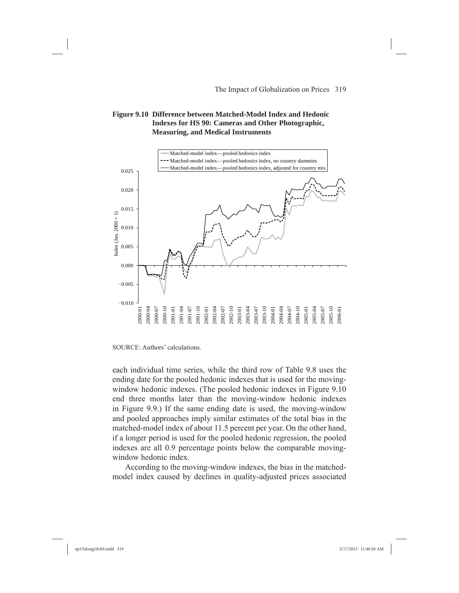#### **Figure 9.10 Difference between Matched-Model Index and Hedonic Indexes for HS 90: Cameras and Other Photographic, Measuring, and Medical Instruments**



SOURCE: Authors' calculations.

each individual time series, while the third row of Table 9.8 uses the ending date for the pooled hedonic indexes that is used for the movingwindow hedonic indexes. (The pooled hedonic indexes in Figure 9.10 end three months later than the moving-window hedonic indexes in Figure 9.9.) If the same ending date is used, the moving-window and pooled approaches imply similar estimates of the total bias in the matched-model index of about 11.5 percent per year. On the other hand, if a longer period is used for the pooled hedonic regression, the pooled indexes are all 0.9 percentage points below the comparable movingwindow hedonic index.

According to the moving-window indexes, the bias in the matchedmodel index caused by declines in quality-adjusted prices associated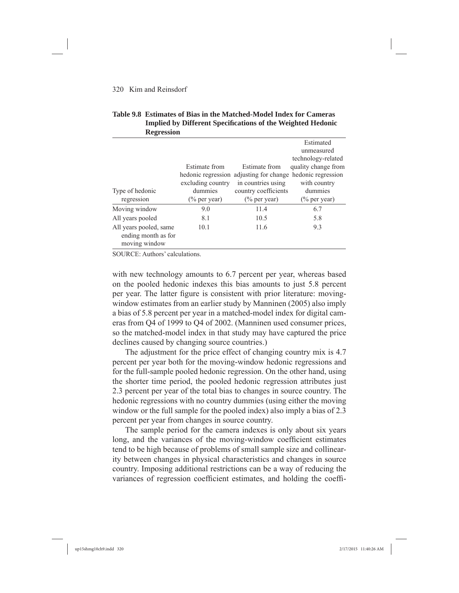| <b>Regression</b>                                              |                      |                                         |                     |  |
|----------------------------------------------------------------|----------------------|-----------------------------------------|---------------------|--|
|                                                                |                      |                                         | Estimated           |  |
|                                                                |                      |                                         | unmeasured          |  |
|                                                                |                      |                                         | technology-related  |  |
|                                                                | <b>Estimate from</b> | Estimate from                           | quality change from |  |
|                                                                |                      | hedonic regression adjusting for change | hedonic regression  |  |
|                                                                | excluding country    | in countries using                      | with country        |  |
| Type of hedonic                                                | dummies              | country coefficients                    | dummies             |  |
| regression                                                     | $(\%$ per year)      | $(\%$ per year)                         | $(\%$ per year)     |  |
| Moving window                                                  | 9.0                  | 11.4                                    | 6.7                 |  |
| All years pooled                                               | 8.1                  | 10.5                                    | 5.8                 |  |
| All years pooled, same<br>ending month as for<br>moving window | 10.1                 | 11.6                                    | 9.3                 |  |

#### **Table 9.8 Estimates of Bias in the Matched-Model Index for Cameras Implied by Different Specifi cations of the Weighted Hedonic Regression**

SOURCE: Authors' calculations.

with new technology amounts to 6.7 percent per year, whereas based on the pooled hedonic indexes this bias amounts to just 5.8 percent per year. The latter figure is consistent with prior literature: movingwindow estimates from an earlier study by Manninen (2005) also imply a bias of 5.8 percent per year in a matched-model index for digital cameras from Q4 of 1999 to Q4 of 2002. (Manninen used consumer prices, so the matched-model index in that study may have captured the price declines caused by changing source countries.)

The adjustment for the price effect of changing country mix is 4.7 percent per year both for the moving-window hedonic regressions and for the full-sample pooled hedonic regression. On the other hand, using the shorter time period, the pooled hedonic regression attributes just 2.3 percent per year of the total bias to changes in source country. The hedonic regressions with no country dummies (using either the moving window or the full sample for the pooled index) also imply a bias of 2.3 percent per year from changes in source country.

The sample period for the camera indexes is only about six years long, and the variances of the moving-window coefficient estimates tend to be high because of problems of small sample size and collinearity between changes in physical characteristics and changes in source country. Imposing additional restrictions can be a way of reducing the variances of regression coefficient estimates, and holding the coeffi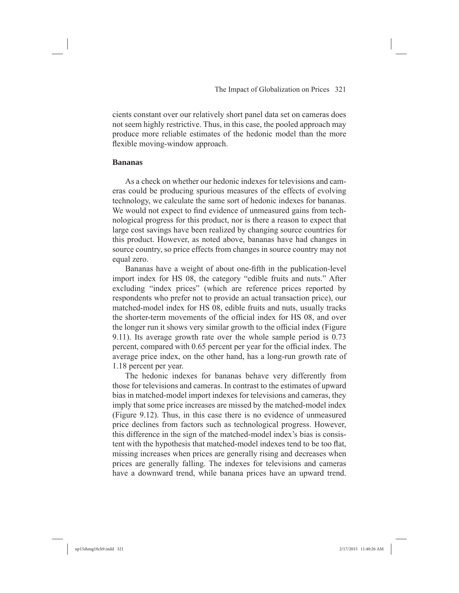cients constant over our relatively short panel data set on cameras does not seem highly restrictive. Thus, in this case, the pooled approach may produce more reliable estimates of the hedonic model than the more flexible moving-window approach.

#### **Bananas**

As a check on whether our hedonic indexes for televisions and cameras could be producing spurious measures of the effects of evolving technology, we calculate the same sort of hedonic indexes for bananas. We would not expect to find evidence of unmeasured gains from technological progress for this product, nor is there a reason to expect that large cost savings have been realized by changing source countries for this product. However, as noted above, bananas have had changes in source country, so price effects from changes in source country may not equal zero.

Bananas have a weight of about one-fifth in the publication-level import index for HS 08, the category "edible fruits and nuts." After excluding "index prices" (which are reference prices reported by respondents who prefer not to provide an actual transaction price), our matched-model index for HS 08, edible fruits and nuts, usually tracks the shorter-term movements of the official index for HS 08, and over the longer run it shows very similar growth to the official index (Figure 9.11). Its average growth rate over the whole sample period is 0.73 percent, compared with 0.65 percent per year for the official index. The average price index, on the other hand, has a long-run growth rate of 1.18 percent per year.

The hedonic indexes for bananas behave very differently from those for televisions and cameras. In contrast to the estimates of upward bias in matched-model import indexes for televisions and cameras, they imply that some price increases are missed by the matched-model index (Figure 9.12). Thus, in this case there is no evidence of unmeasured price declines from factors such as technological progress. However, this difference in the sign of the matched-model index's bias is consistent with the hypothesis that matched-model indexes tend to be too flat, missing increases when prices are generally rising and decreases when prices are generally falling. The indexes for televisions and cameras have a downward trend, while banana prices have an upward trend.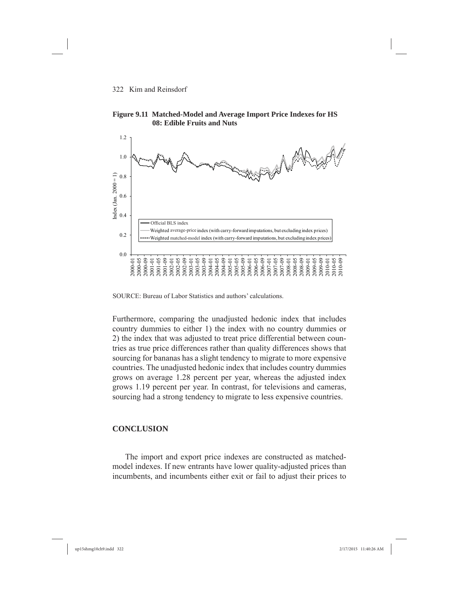



SOURCE: Bureau of Labor Statistics and authors' calculations.

Furthermore, comparing the unadjusted hedonic index that includes country dummies to either 1) the index with no country dummies or 2) the index that was adjusted to treat price differential between countries as true price differences rather than quality differences shows that sourcing for bananas has a slight tendency to migrate to more expensive countries. The unadjusted hedonic index that includes country dummies grows on average 1.28 percent per year, whereas the adjusted index grows 1.19 percent per year. In contrast, for televisions and cameras, sourcing had a strong tendency to migrate to less expensive countries.

#### **CONCLUSION**

The import and export price indexes are constructed as matchedmodel indexes. If new entrants have lower quality-adjusted prices than incumbents, and incumbents either exit or fail to adjust their prices to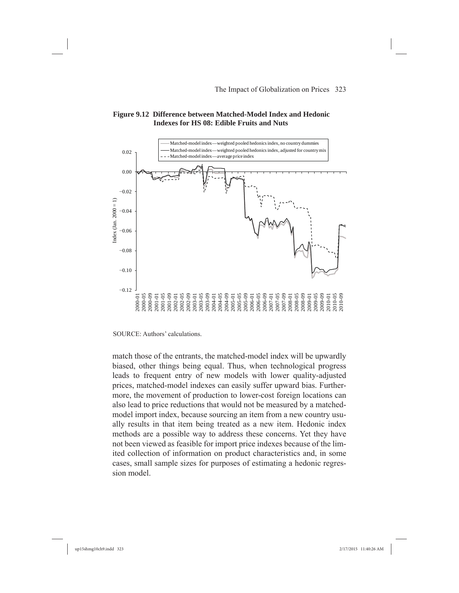#### **Figure 9.12 Difference between Matched-Model Index and Hedonic Indexes for HS 08: Edible Fruits and Nuts**



SOURCE: Authors' calculations.

match those of the entrants, the matched-model index will be upwardly biased, other things being equal. Thus, when technological progress leads to frequent entry of new models with lower quality-adjusted prices, matched-model indexes can easily suffer upward bias. Furthermore, the movement of production to lower-cost foreign locations can also lead to price reductions that would not be measured by a matchedmodel import index, because sourcing an item from a new country usually results in that item being treated as a new item. Hedonic index methods are a possible way to address these concerns. Yet they have not been viewed as feasible for import price indexes because of the limited collection of information on product characteristics and, in some cases, small sample sizes for purposes of estimating a hedonic regression model.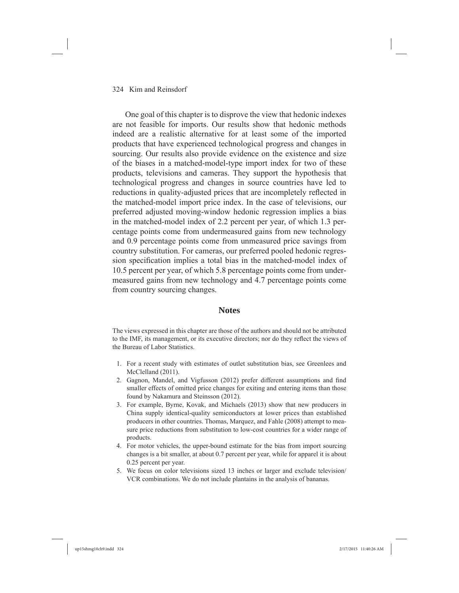One goal of this chapter is to disprove the view that hedonic indexes are not feasible for imports. Our results show that hedonic methods indeed are a realistic alternative for at least some of the imported products that have experienced technological progress and changes in sourcing. Our results also provide evidence on the existence and size of the biases in a matched-model-type import index for two of these products, televisions and cameras. They support the hypothesis that technological progress and changes in source countries have led to reductions in quality-adjusted prices that are incompletely reflected in the matched-model import price index. In the case of televisions, our preferred adjusted moving-window hedonic regression implies a bias in the matched-model index of 2.2 percent per year, of which 1.3 percentage points come from undermeasured gains from new technology and 0.9 percentage points come from unmeasured price savings from country substitution. For cameras, our preferred pooled hedonic regression specification implies a total bias in the matched-model index of 10.5 percent per year, of which 5.8 percentage points come from undermeasured gains from new technology and 4.7 percentage points come from country sourcing changes.

#### **Notes**

The views expressed in this chapter are those of the authors and should not be attributed to the IMF, its management, or its executive directors; nor do they reflect the views of the Bureau of Labor Statistics.

- 1. For a recent study with estimates of outlet substitution bias, see Greenlees and McClelland (2011).
- 2. Gagnon, Mandel, and Vigfusson (2012) prefer different assumptions and find smaller effects of omitted price changes for exiting and entering items than those found by Nakamura and Steinsson (2012).
- 3. For example, Byrne, Kovak, and Michaels (2013) show that new producers in China supply identical-quality semiconductors at lower prices than established producers in other countries. Thomas, Marquez, and Fahle (2008) attempt to measure price reductions from substitution to low-cost countries for a wider range of products.
- 4. For motor vehicles, the upper-bound estimate for the bias from import sourcing changes is a bit smaller, at about 0.7 percent per year, while for apparel it is about 0.25 percent per year.
- 5. We focus on color televisions sized 13 inches or larger and exclude television/ VCR combinations. We do not include plantains in the analysis of bananas.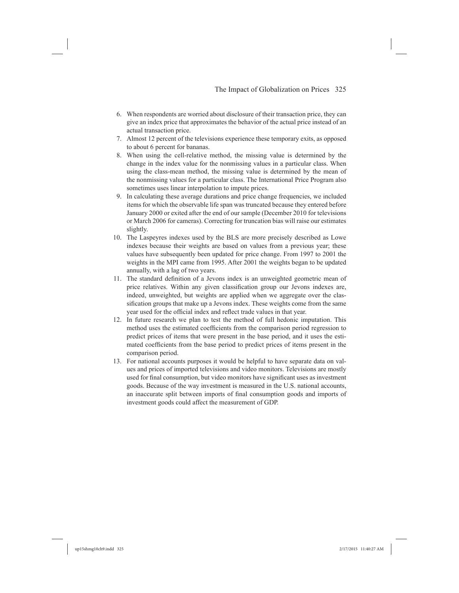- 6. When respondents are worried about disclosure of their transaction price, they can give an index price that approximates the behavior of the actual price instead of an actual transaction price.
- 7. Almost 12 percent of the televisions experience these temporary exits, as opposed to about 6 percent for bananas.
- 8. When using the cell-relative method, the missing value is determined by the change in the index value for the nonmissing values in a particular class. When using the class-mean method, the missing value is determined by the mean of the nonmissing values for a particular class. The International Price Program also sometimes uses linear interpolation to impute prices.
- 9. In calculating these average durations and price change frequencies, we included items for which the observable life span was truncated because they entered before January 2000 or exited after the end of our sample (December 2010 for televisions or March 2006 for cameras). Correcting for truncation bias will raise our estimates slightly.
- 10. The Laspeyres indexes used by the BLS are more precisely described as Lowe indexes because their weights are based on values from a previous year; these values have subsequently been updated for price change. From 1997 to 2001 the weights in the MPI came from 1995. After 2001 the weights began to be updated annually, with a lag of two years.
- 11. The standard definition of a Jevons index is an unweighted geometric mean of price relatives. Within any given classification group our Jevons indexes are, indeed, unweighted, but weights are applied when we aggregate over the classification groups that make up a Jevons index. These weights come from the same year used for the official index and reflect trade values in that year.
- 12. In future research we plan to test the method of full hedonic imputation. This method uses the estimated coefficients from the comparison period regression to predict prices of items that were present in the base period, and it uses the estimated coefficients from the base period to predict prices of items present in the comparison period.
- 13. For national accounts purposes it would be helpful to have separate data on values and prices of imported televisions and video monitors. Televisions are mostly used for final consumption, but video monitors have significant uses as investment goods. Because of the way investment is measured in the U.S. national accounts, an inaccurate split between imports of final consumption goods and imports of investment goods could affect the measurement of GDP.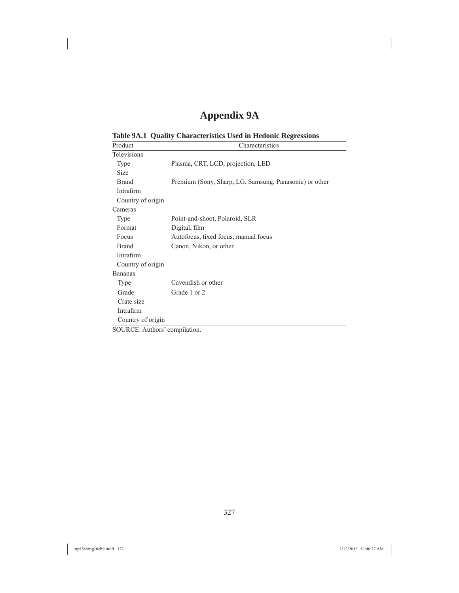### **Appendix 9A**

| Product                       | Characteristics                                        |
|-------------------------------|--------------------------------------------------------|
| Televisions                   |                                                        |
| Type                          | Plasma, CRT, LCD, projection, LED                      |
| Size                          |                                                        |
| <b>Brand</b>                  | Premium (Sony, Sharp, LG, Samsung, Panasonic) or other |
| Intrafirm                     |                                                        |
| Country of origin             |                                                        |
| Cameras                       |                                                        |
| Type                          | Point-and-shoot, Polaroid, SLR                         |
| Format                        | Digital, film                                          |
| Focus                         | Autofocus, fixed focus, manual focus                   |
| <b>Brand</b>                  | Canon, Nikon, or other                                 |
| Intrafirm                     |                                                        |
| Country of origin             |                                                        |
| <b>Bananas</b>                |                                                        |
| Type                          | Cavendish or other                                     |
| Grade                         | Grade 1 or 2                                           |
| Crate size                    |                                                        |
| Intrafirm                     |                                                        |
| Country of origin             |                                                        |
| SOURCE: Authors' compilation. |                                                        |

**Table 9A.1 Quality Characteristics Used in Hedonic Regressions**

327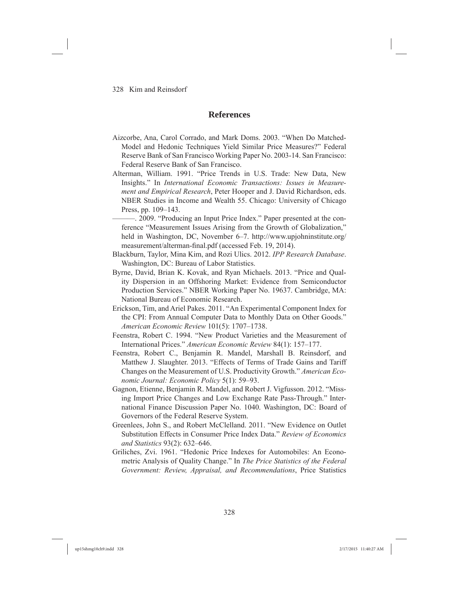#### **References**

- Aizcorbe, Ana, Carol Corrado, and Mark Doms. 2003. "When Do Matched-Model and Hedonic Techniques Yield Similar Price Measures?" Federal Reserve Bank of San Francisco Working Paper No. 2003-14. San Francisco: Federal Reserve Bank of San Francisco.
- Alterman, William. 1991. "Price Trends in U.S. Trade: New Data, New Insights." In *International Economic Transactions: Issues in Measurement and Empirical Research*, Peter Hooper and J. David Richardson, eds. NBER Studies in Income and Wealth 55. Chicago: University of Chicago Press, pp. 109–143.
	- ———. 2009. "Producing an Input Price Index." Paper presented at the conference "Measurement Issues Arising from the Growth of Globalization," held in Washington, DC, November 6–7. http://www.upjohninstitute.org/ measurement/alterman-final.pdf (accessed Feb. 19, 2014).
- Blackburn, Taylor, Mina Kim, and Rozi Ulics. 2012. *IPP Research Database*. Washington, DC: Bureau of Labor Statistics.
- Byrne, David, Brian K. Kovak, and Ryan Michaels. 2013. "Price and Quality Dispersion in an Offshoring Market: Evidence from Semiconductor Production Services." NBER Working Paper No. 19637. Cambridge, MA: National Bureau of Economic Research.
- Erickson, Tim, and Ariel Pakes. 2011. "An Experimental Component Index for the CPI: From Annual Computer Data to Monthly Data on Other Goods." *American Economic Review* 101(5): 1707–1738.
- Feenstra, Robert C. 1994. "New Product Varieties and the Measurement of International Prices." *American Economic Review* 84(1): 157–177.
- Feenstra, Robert C., Benjamin R. Mandel, Marshall B. Reinsdorf, and Matthew J. Slaughter. 2013. "Effects of Terms of Trade Gains and Tariff Changes on the Measurement of U.S. Productivity Growth." *American Economic Journal: Economic Policy* 5(1): 59–93.
- Gagnon, Etienne, Benjamin R. Mandel, and Robert J. Vigfusson. 2012. "Missing Import Price Changes and Low Exchange Rate Pass-Through." International Finance Discussion Paper No. 1040. Washington, DC: Board of Governors of the Federal Reserve System.
- Greenlees, John S., and Robert McClelland. 2011. "New Evidence on Outlet Substitution Effects in Consumer Price Index Data." *Review of Economics and Statistics* 93(2): 632–646.
- Griliches, Zvi. 1961. "Hedonic Price Indexes for Automobiles: An Econometric Analysis of Quality Change." In *The Price Statistics of the Federal Government: Review, Appraisal, and Recommendations*, Price Statistics